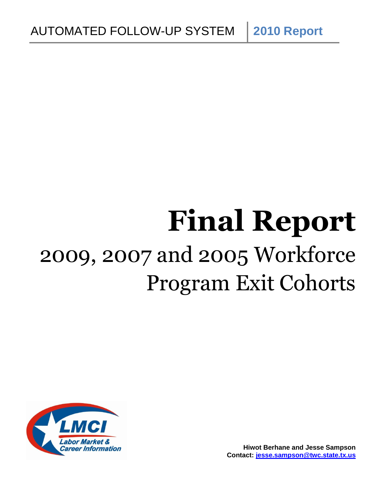# **Final Report** 2009, 2007 and 2005 Workforce Program Exit Cohorts

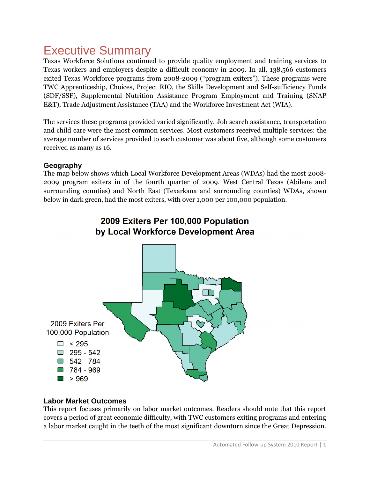# Executive Summary

Texas Workforce Solutions continued to provide quality employment and training services to Texas workers and employers despite a difficult economy in 2009. In all, 138,566 customers exited Texas Workforce programs from 2008-2009 ("program exiters"). These programs were TWC Apprenticeship, Choices, Project RIO, the Skills Development and Self-sufficiency Funds (SDF/SSF), Supplemental Nutrition Assistance Program Employment and Training (SNAP E&T), Trade Adjustment Assistance (TAA) and the Workforce Investment Act (WIA).

The services these programs provided varied significantly. Job search assistance, transportation and child care were the most common services. Most customers received multiple services: the average number of services provided to each customer was about five, although some customers received as many as 16.

## **Geography**

The map below shows which Local Workforce Development Areas (WDAs) had the most 2008- 2009 program exiters in of the fourth quarter of 2009. West Central Texas (Abilene and surrounding counties) and North East (Texarkana and surrounding counties) WDAs, shown below in dark green, had the most exiters, with over 1,000 per 100,000 population.



# 2009 Exiters Per 100,000 Population by Local Workforce Development Area

## **Labor Market Outcomes**

This report focuses primarily on labor market outcomes. Readers should note that this report covers a period of great economic difficulty, with TWC customers exiting programs and entering a labor market caught in the teeth of the most significant downturn since the Great Depression.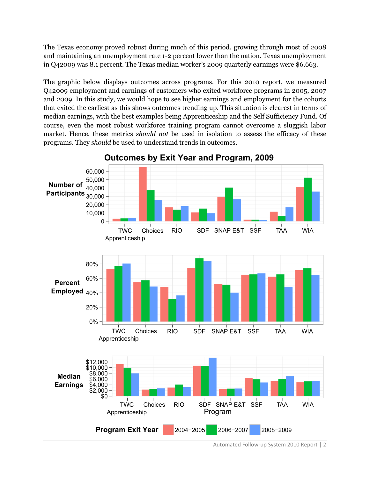The Texas economy proved robust during much of this period, growing through most of 2008 and maintaining an unemployment rate 1-2 percent lower than the nation. Texas unemployment in Q42009 was 8.1 percent. The Texas median worker's 2009 quarterly earnings were \$6,663.

The graphic below displays outcomes across programs. For this 2010 report, we measured Q42009 employment and earnings of customers who exited workforce programs in 2005, 2007 and 2009. In this study, we would hope to see higher earnings and employment for the cohorts that exited the earliest as this shows outcomes trending up. This situation is clearest in terms of median earnings, with the best examples being Apprenticeship and the Self Sufficiency Fund. Of course, even the most robust workforce training program cannot overcome a sluggish labor market. Hence, these metrics *should not* be used in isolation to assess the efficacy of these programs. They *should* be used to understand trends in outcomes.



**Outcomes by Exit Year and Program, 2009** 

Automated Follow-up System 2010 Report | 2